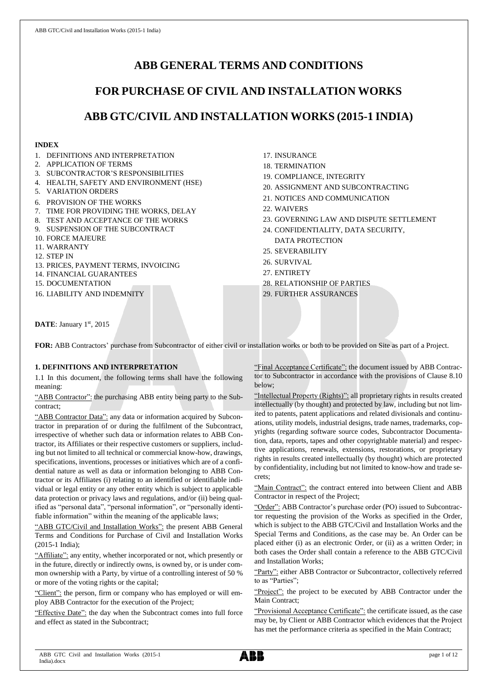# **ABB GENERAL TERMS AND CONDITIONS**

# **FOR PURCHASE OF CIVIL AND INSTALLATION WORKS**

# **ABB GTC/CIVIL AND INSTALLATION WORKS (2015-1 INDIA)**

## **INDEX**

- 1. DEFINITIONS AND INTERPRETATION
- 2. APPLICATION OF TERMS
- 3. SUBCONTRACTOR'S RESPONSIBILITIES
- 4. HEALTH, SAFETY AND ENVIRONMENT (HSE)
- 5. VARIATION ORDERS
- 6. PROVISION OF THE WORKS
- 7. TIME FOR PROVIDING THE WORKS, DELAY
- 8. TEST AND ACCEPTANCE OF THE WORKS
- 9. SUSPENSION OF THE SUBCONTRACT
- 10. FORCE MAJEURE
- 11. WARRANTY
- 12. STEP IN
- 13. PRICES, PAYMENT TERMS, INVOICING
- 14. FINANCIAL GUARANTEES
- 15. DOCUMENTATION

16. LIABILITY AND INDEMNITY

- 17. INSURANCE
- 18. TERMINATION
- 19. COMPLIANCE, INTEGRITY
- 20. ASSIGNMENT AND SUBCONTRACTING
- 21. NOTICES AND COMMUNICATION
- 22. WAIVERS
- 23. GOVERNING LAW AND DISPUTE SETTLEMENT
- 24. CONFIDENTIALITY, DATA SECURITY, DATA PROTECTION
- 25. SEVERABILITY
- 26. SURVIVAL
- 27. ENTIRETY
- 28. RELATIONSHIP OF PARTIES
- 29. FURTHER ASSURANCES

DATE: January 1st, 2015

FOR: ABB Contractors' purchase from Subcontractor of either civil or installation works or both to be provided on Site as part of a Project.

# **1. DEFINITIONS AND INTERPRETATION**

1.1 In this document, the following terms shall have the following meaning:

"ABB Contractor": the purchasing ABB entity being party to the Subcontract;

"ABB Contractor Data": any data or information acquired by Subcontractor in preparation of or during the fulfilment of the Subcontract, irrespective of whether such data or information relates to ABB Contractor, its Affiliates or their respective customers or suppliers, including but not limited to all technical or commercial know-how, drawings, specifications, inventions, processes or initiatives which are of a confidential nature as well as data or information belonging to ABB Contractor or its Affiliates (i) relating to an identified or identifiable individual or legal entity or any other entity which is subject to applicable data protection or privacy laws and regulations, and/or (ii) being qualified as "personal data", "personal information", or "personally identifiable information" within the meaning of the applicable laws;

"ABB GTC/Civil and Installation Works": the present ABB General Terms and Conditions for Purchase of Civil and Installation Works (2015-1 India);

"Affiliate": any entity, whether incorporated or not, which presently or in the future, directly or indirectly owns, is owned by, or is under common ownership with a Party, by virtue of a controlling interest of 50 % or more of the voting rights or the capital;

"Client": the person, firm or company who has employed or will employ ABB Contractor for the execution of the Project;

"Effective Date": the day when the Subcontract comes into full force and effect as stated in the Subcontract;

"Final Acceptance Certificate": the document issued by ABB Contractor to Subcontractor in accordance with the provisions of Clause 8.10 below;

"Intellectual Property (Rights)": all proprietary rights in results created intellectually (by thought) and protected by law, including but not limited to patents, patent applications and related divisionals and continuations, utility models, industrial designs, trade names, trademarks, copyrights (regarding software source codes, Subcontractor Documentation, data, reports, tapes and other copyrightable material) and respective applications, renewals, extensions, restorations, or proprietary rights in results created intellectually (by thought) which are protected by confidentiality, including but not limited to know-how and trade secrets;

"Main Contract": the contract entered into between Client and ABB Contractor in respect of the Project;

"Order": ABB Contractor's purchase order (PO) issued to Subcontractor requesting the provision of the Works as specified in the Order, which is subject to the ABB GTC/Civil and Installation Works and the Special Terms and Conditions, as the case may be. An Order can be placed either (i) as an electronic Order, or (ii) as a written Order; in both cases the Order shall contain a reference to the ABB GTC/Civil and Installation Works;

"Party": either ABB Contractor or Subcontractor, collectively referred to as "Parties";

"Project": the project to be executed by ABB Contractor under the Main Contract;

"Provisional Acceptance Certificate": the certificate issued, as the case may be, by Client or ABB Contractor which evidences that the Project has met the performance criteria as specified in the Main Contract;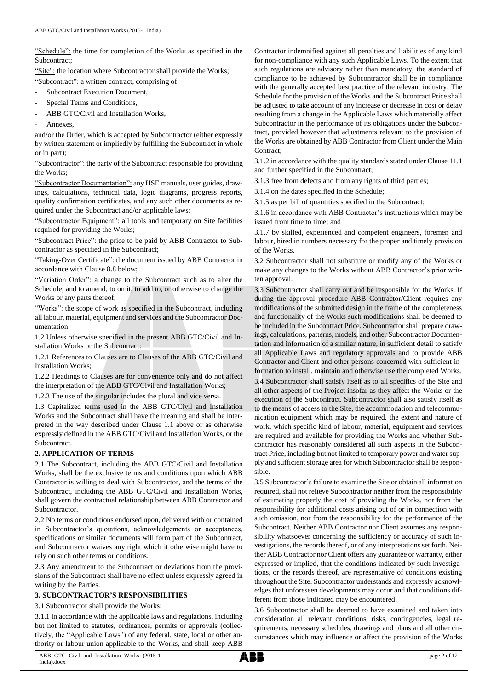"Schedule": the time for completion of the Works as specified in the Subcontract;

"Site": the location where Subcontractor shall provide the Works;

"Subcontract": a written contract, comprising of:

- Subcontract Execution Document,
- Special Terms and Conditions,
- ABB GTC/Civil and Installation Works,
- Annexes.

and/or the Order, which is accepted by Subcontractor (either expressly by written statement or impliedly by fulfilling the Subcontract in whole or in part);

"Subcontractor": the party of the Subcontract responsible for providing the Works;

"Subcontractor Documentation": any HSE manuals, user guides, drawings, calculations, technical data, logic diagrams, progress reports, quality confirmation certificates, and any such other documents as required under the Subcontract and/or applicable laws;

"Subcontractor Equipment": all tools and temporary on Site facilities required for providing the Works;

"Subcontract Price": the price to be paid by ABB Contractor to Subcontractor as specified in the Subcontract;

"Taking-Over Certificate": the document issued by ABB Contractor in accordance with Clause 8.8 below;

"Variation Order": a change to the Subcontract such as to alter the Schedule, and to amend, to omit, to add to, or otherwise to change the Works or any parts thereof;

"Works": the scope of work as specified in the Subcontract, including all labour, material, equipment and services and the Subcontractor Documentation.

1.2 Unless otherwise specified in the present ABB GTC/Civil and Installation Works or the Subcontract:

1.2.1 References to Clauses are to Clauses of the ABB GTC/Civil and Installation Works;

1.2.2 Headings to Clauses are for convenience only and do not affect the interpretation of the ABB GTC/Civil and Installation Works;

1.2.3 The use of the singular includes the plural and vice versa.

1.3 Capitalized terms used in the ABB GTC/Civil and Installation Works and the Subcontract shall have the meaning and shall be interpreted in the way described under Clause 1.1 above or as otherwise expressly defined in the ABB GTC/Civil and Installation Works, or the Subcontract.

# **2. APPLICATION OF TERMS**

2.1 The Subcontract, including the ABB GTC/Civil and Installation Works, shall be the exclusive terms and conditions upon which ABB Contractor is willing to deal with Subcontractor, and the terms of the Subcontract, including the ABB GTC/Civil and Installation Works, shall govern the contractual relationship between ABB Contractor and Subcontractor.

2.2 No terms or conditions endorsed upon, delivered with or contained in Subcontractor's quotations, acknowledgements or acceptances, specifications or similar documents will form part of the Subcontract, and Subcontractor waives any right which it otherwise might have to rely on such other terms or conditions.

2.3 Any amendment to the Subcontract or deviations from the provisions of the Subcontract shall have no effect unless expressly agreed in writing by the Parties.

#### **3. SUBCONTRACTOR'S RESPONSIBILITIES**

3.1 Subcontractor shall provide the Works:

3.1.1 in accordance with the applicable laws and regulations, including but not limited to statutes, ordinances, permits or approvals (collectively, the "Applicable Laws") of any federal, state, local or other authority or labour union applicable to the Works, and shall keep ABB

Contractor indemnified against all penalties and liabilities of any kind for non-compliance with any such Applicable Laws. To the extent that such regulations are advisory rather than mandatory, the standard of compliance to be achieved by Subcontractor shall be in compliance with the generally accepted best practice of the relevant industry. The Schedule for the provision of the Works and the Subcontract Price shall be adjusted to take account of any increase or decrease in cost or delay resulting from a change in the Applicable Laws which materially affect Subcontractor in the performance of its obligations under the Subcontract, provided however that adjustments relevant to the provision of the Works are obtained by ABB Contractor from Client under the Main Contract:

3.1.2 in accordance with the quality standards stated under Clause 11.1 and further specified in the Subcontract;

3.1.3 free from defects and from any rights of third parties;

3.1.4 on the dates specified in the Schedule;

3.1.5 as per bill of quantities specified in the Subcontract;

3.1.6 in accordance with ABB Contractor's instructions which may be issued from time to time; and

3.1.7 by skilled, experienced and competent engineers, foremen and labour, hired in numbers necessary for the proper and timely provision of the Works.

3.2 Subcontractor shall not substitute or modify any of the Works or make any changes to the Works without ABB Contractor's prior written approval.

3.3 Subcontractor shall carry out and be responsible for the Works. If during the approval procedure ABB Contractor/Client requires any modifications of the submitted design in the frame of the completeness and functionality of the Works such modifications shall be deemed to be included in the Subcontract Price. Subcontractor shall prepare drawings, calculations, patterns, models, and other Subcontractor Documentation and information of a similar nature, in sufficient detail to satisfy all Applicable Laws and regulatory approvals and to provide ABB Contractor and Client and other persons concerned with sufficient information to install, maintain and otherwise use the completed Works.

3.4 Subcontractor shall satisfy itself as to all specifics of the Site and all other aspects of the Project insofar as they affect the Works or the execution of the Subcontract. Subcontractor shall also satisfy itself as to the means of access to the Site, the accommodation and telecommunication equipment which may be required, the extent and nature of work, which specific kind of labour, material, equipment and services are required and available for providing the Works and whether Subcontractor has reasonably considered all such aspects in the Subcontract Price, including but not limited to temporary power and water supply and sufficient storage area for which Subcontractor shall be responsible.

3.5 Subcontractor's failure to examine the Site or obtain all information required, shall not relieve Subcontractor neither from the responsibility of estimating properly the cost of providing the Works, nor from the responsibility for additional costs arising out of or in connection with such omission, nor from the responsibility for the performance of the Subcontract. Neither ABB Contractor nor Client assumes any responsibility whatsoever concerning the sufficiency or accuracy of such investigations, the records thereof, or of any interpretations set forth. Neither ABB Contractor nor Client offers any guarantee or warranty, either expressed or implied, that the conditions indicated by such investigations, or the records thereof, are representative of conditions existing throughout the Site. Subcontractor understands and expressly acknowledges that unforeseen developments may occur and that conditions different from those indicated may be encountered.

3.6 Subcontractor shall be deemed to have examined and taken into consideration all relevant conditions, risks, contingencies, legal requirements, necessary schedules, drawings and plans and all other circumstances which may influence or affect the provision of the Works

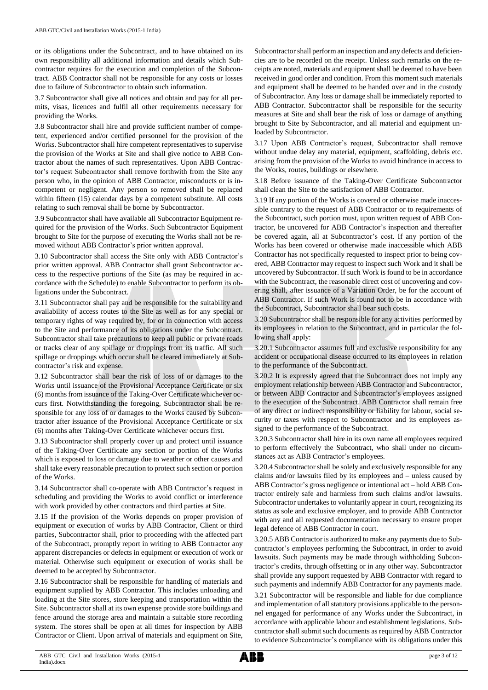or its obligations under the Subcontract, and to have obtained on its own responsibility all additional information and details which Subcontractor requires for the execution and completion of the Subcontract. ABB Contractor shall not be responsible for any costs or losses due to failure of Subcontractor to obtain such information.

3.7 Subcontractor shall give all notices and obtain and pay for all permits, visas, licences and fulfil all other requirements necessary for providing the Works.

3.8 Subcontractor shall hire and provide sufficient number of competent, experienced and/or certified personnel for the provision of the Works. Subcontractor shall hire competent representatives to supervise the provision of the Works at Site and shall give notice to ABB Contractor about the names of such representatives. Upon ABB Contractor's request Subcontractor shall remove forthwith from the Site any person who, in the opinion of ABB Contractor, misconducts or is incompetent or negligent. Any person so removed shall be replaced within fifteen (15) calendar days by a competent substitute. All costs relating to such removal shall be borne by Subcontractor.

3.9 Subcontractor shall have available all Subcontractor Equipment required for the provision of the Works. Such Subcontractor Equipment brought to Site for the purpose of executing the Works shall not be removed without ABB Contractor's prior written approval.

3.10 Subcontractor shall access the Site only with ABB Contractor's prior written approval. ABB Contractor shall grant Subcontractor access to the respective portions of the Site (as may be required in accordance with the Schedule) to enable Subcontractor to perform its obligations under the Subcontract.

3.11 Subcontractor shall pay and be responsible for the suitability and availability of access routes to the Site as well as for any special or temporary rights of way required by, for or in connection with access to the Site and performance of its obligations under the Subcontract. Subcontractor shall take precautions to keep all public or private roads or tracks clear of any spillage or droppings from its traffic. All such spillage or droppings which occur shall be cleared immediately at Subcontractor's risk and expense.

3.12 Subcontractor shall bear the risk of loss of or damages to the Works until issuance of the Provisional Acceptance Certificate or six (6) months from issuance of the Taking-Over Certificate whichever occurs first. Notwithstanding the foregoing, Subcontractor shall be responsible for any loss of or damages to the Works caused by Subcontractor after issuance of the Provisional Acceptance Certificate or six (6) months after Taking-Over Certificate whichever occurs first.

3.13 Subcontractor shall properly cover up and protect until issuance of the Taking-Over Certificate any section or portion of the Works which is exposed to loss or damage due to weather or other causes and shall take every reasonable precaution to protect such section or portion of the Works.

3.14 Subcontractor shall co-operate with ABB Contractor's request in scheduling and providing the Works to avoid conflict or interference with work provided by other contractors and third parties at Site.

3.15 If the provision of the Works depends on proper provision of equipment or execution of works by ABB Contractor, Client or third parties, Subcontractor shall, prior to proceeding with the affected part of the Subcontract, promptly report in writing to ABB Contractor any apparent discrepancies or defects in equipment or execution of work or material. Otherwise such equipment or execution of works shall be deemed to be accepted by Subcontractor.

3.16 Subcontractor shall be responsible for handling of materials and equipment supplied by ABB Contractor. This includes unloading and loading at the Site stores, store keeping and transportation within the Site. Subcontractor shall at its own expense provide store buildings and fence around the storage area and maintain a suitable store recording system. The stores shall be open at all times for inspection by ABB Contractor or Client. Upon arrival of materials and equipment on Site,

Subcontractor shall perform an inspection and any defects and deficiencies are to be recorded on the receipt. Unless such remarks on the receipts are noted, materials and equipment shall be deemed to have been received in good order and condition. From this moment such materials and equipment shall be deemed to be handed over and in the custody of Subcontractor. Any loss or damage shall be immediately reported to ABB Contractor. Subcontractor shall be responsible for the security measures at Site and shall bear the risk of loss or damage of anything brought to Site by Subcontractor, and all material and equipment unloaded by Subcontractor.

3.17 Upon ABB Contractor's request, Subcontractor shall remove without undue delay any material, equipment, scaffolding, debris etc. arising from the provision of the Works to avoid hindrance in access to the Works, routes, buildings or elsewhere.

3.18 Before issuance of the Taking-Over Certificate Subcontractor shall clean the Site to the satisfaction of ABB Contractor.

3.19 If any portion of the Works is covered or otherwise made inaccessible contrary to the request of ABB Contractor or to requirements of the Subcontract, such portion must, upon written request of ABB Contractor, be uncovered for ABB Contractor's inspection and thereafter be covered again, all at Subcontractor's cost. If any portion of the Works has been covered or otherwise made inaccessible which ABB Contractor has not specifically requested to inspect prior to being covered, ABB Contractor may request to inspect such Work and it shall be uncovered by Subcontractor. If such Work is found to be in accordance with the Subcontract, the reasonable direct cost of uncovering and covering shall, after issuance of a Variation Order, be for the account of ABB Contractor. If such Work is found not to be in accordance with the Subcontract, Subcontractor shall bear such costs.

3.20 Subcontractor shall be responsible for any activities performed by its employees in relation to the Subcontract, and in particular the following shall apply:

3.20.1 Subcontractor assumes full and exclusive responsibility for any accident or occupational disease occurred to its employees in relation to the performance of the Subcontract.

3.20.2 It is expressly agreed that the Subcontract does not imply any employment relationship between ABB Contractor and Subcontractor, or between ABB Contractor and Subcontractor's employees assigned to the execution of the Subcontract. ABB Contractor shall remain free of any direct or indirect responsibility or liability for labour, social security or taxes with respect to Subcontractor and its employees assigned to the performance of the Subcontract.

3.20.3 Subcontractor shall hire in its own name all employees required to perform effectively the Subcontract, who shall under no circumstances act as ABB Contractor's employees.

3.20.4 Subcontractorshall be solely and exclusively responsible for any claims and/or lawsuits filed by its employees and – unless caused by ABB Contractor's gross negligence or intentional act – hold ABB Contractor entirely safe and harmless from such claims and/or lawsuits. Subcontractor undertakes to voluntarily appear in court, recognizing its status as sole and exclusive employer, and to provide ABB Contractor with any and all requested documentation necessary to ensure proper legal defence of ABB Contractor in court.

3.20.5 ABB Contractor is authorized to make any payments due to Subcontractor's employees performing the Subcontract, in order to avoid lawsuits. Such payments may be made through withholding Subcontractor's credits, through offsetting or in any other way. Subcontractor shall provide any support requested by ABB Contractor with regard to such payments and indemnify ABB Contractor for any payments made.

3.21 Subcontractor will be responsible and liable for due compliance and implementation of all statutory provisions applicable to the personnel engaged for performance of any Works under the Subcontract, in accordance with applicable labour and establishment legislations. Subcontractor shall submit such documents as required by ABB Contractor to evidence Subcontractor's compliance with its obligations under this

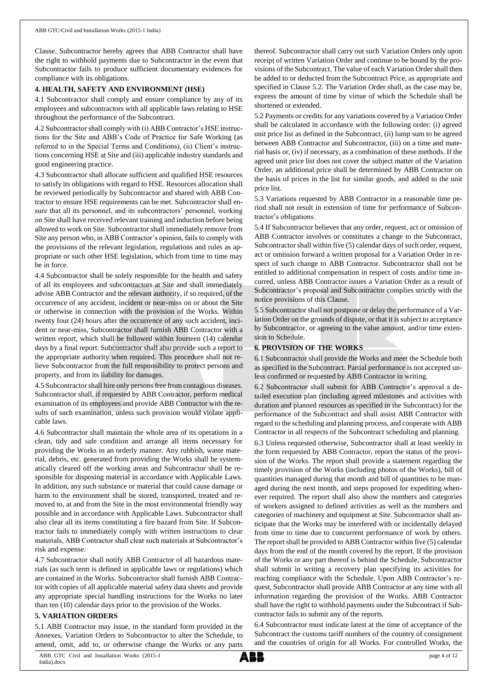Clause. Subcontractor hereby agrees that ABB Contractor shall have the right to withhold payments due to Subcontractor in the event that Subcontractor fails to produce sufficient documentary evidences for compliance with its obligations.

#### **4. HEALTH, SAFETY AND ENVIRONMENT (HSE)**

4.1 Subcontractor shall comply and ensure compliance by any of its employees and subcontractors with all applicable laws relating to HSE throughout the performance of the Subcontract.

4.2 Subcontractor shall comply with (i) ABB Contractor's HSE instructions for the Site and ABB's Code of Practice for Safe Working (as referred to in the Special Terms and Conditions), (ii) Client's instructions concerning HSE at Site and (iii) applicable industry standards and good engineering practice.

4.3 Subcontractor shall allocate sufficient and qualified HSE resources to satisfy its obligations with regard to HSE. Resources allocation shall be reviewed periodically by Subcontractor and shared with ABB Contractor to ensure HSE requirements can be met. Subcontractor shall ensure that all its personnel, and its subcontractors' personnel, working on Site shall have received relevant training and induction before being allowed to work on Site. Subcontractor shall immediately remove from Site any person who, in ABB Contractor's opinion, fails to comply with the provisions of the relevant legislation, regulations and rules as appropriate or such other HSE legislation, which from time to time may be in force.

4.4 Subcontractor shall be solely responsible for the health and safety of all its employees and subcontractors at Site and shall immediately advise ABB Contractor and the relevant authority, if so required, of the occurrence of any accident, incident or near-miss on or about the Site or otherwise in connection with the provision of the Works. Within twenty four (24) hours after the occurrence of any such accident, incident or near-miss, Subcontractor shall furnish ABB Contractor with a written report, which shall be followed within fourteen (14) calendar days by a final report. Subcontractor shall also provide such a report to the appropriate authority when required. This procedure shall not relieve Subcontractor from the full responsibility to protect persons and property, and from its liability for damages.

4.5 Subcontractor shall hire only persons free from contagious diseases. Subcontractor shall, if requested by ABB Contractor, perform medical examination of its employees and provide ABB Contractor with the results of such examination, unless such provision would violate applicable laws.

4.6 Subcontractor shall maintain the whole area of its operations in a clean, tidy and safe condition and arrange all items necessary for providing the Works in an orderly manner. Any rubbish, waste material, debris, etc. generated from providing the Works shall be systematically cleared off the working areas and Subcontractor shall be responsible for disposing material in accordance with Applicable Laws. In addition, any such substance or material that could cause damage or harm to the environment shall be stored, transported, treated and removed to, at and from the Site in the most environmental friendly way possible and in accordance with Applicable Laws. Subcontractor shall also clear all its items constituting a fire hazard from Site. If Subcontractor fails to immediately comply with written instructions to clear materials, ABB Contractor shall clear such materials at Subcontractor's risk and expense.

4.7 Subcontractor shall notify ABB Contractor of all hazardous materials (as such term is defined in applicable laws or regulations) which are contained in the Works. Subcontractor shall furnish ABB Contractor with copies of all applicable material safety data sheets and provide any appropriate special handling instructions for the Works no later than ten (10) calendar days prior to the provision of the Works.

#### **5. VARIATION ORDERS**

5.1 ABB Contractor may issue, in the standard form provided in the Annexes, Variation Orders to Subcontractor to alter the Schedule, to amend, omit, add to, or otherwise change the Works or any parts

thereof. Subcontractor shall carry out such Variation Orders only upon receipt of written Variation Order and continue to be bound by the provisions of the Subcontract. The value of each Variation Order shall then be added to or deducted from the Subcontract Price, as appropriate and specified in Clause 5.2. The Variation Order shall, as the case may be, express the amount of time by virtue of which the Schedule shall be shortened or extended.

5.2 Payments or credits for any variations covered by a Variation Order shall be calculated in accordance with the following order: (i) agreed unit price list as defined in the Subcontract, (ii) lump sum to be agreed between ABB Contractor and Subcontractor, (iii) on a time and material basis or, (iv) if necessary, as a combination of these methods. If the agreed unit price list does not cover the subject matter of the Variation Order, an additional price shall be determined by ABB Contractor on the basis of prices in the list for similar goods, and added to the unit price list.

5.3 Variations requested by ABB Contractor in a reasonable time period shall not result in extension of time for performance of Subcontractor's obligations.

5.4 If Subcontractor believes that any order, request, act or omission of ABB Contractor involves or constitutes a change to the Subcontract, Subcontractor shall within five (5) calendar days of such order, request, act or omission forward a written proposal for a Variation Order in respect of such change to ABB Contractor. Subcontractor shall not be entitled to additional compensation in respect of costs and/or time incurred, unless ABB Contractor issues a Variation Order as a result of Subcontractor's proposal and Subcontractor complies strictly with the notice provisions of this Clause.

5.5 Subcontractor shall not postpone or delay the performance of a Variation Order on the grounds of dispute, or that it is subject to acceptance by Subcontractor, or agreeing to the value amount, and/or time extension to Schedule.

#### **6. PROVISION OF THE WORKS**

6.1 Subcontractor shall provide the Works and meet the Schedule both as specified in the Subcontract. Partial performance is not accepted unless confirmed or requested by ABB Contractor in writing.

6.2 Subcontractor shall submit for ABB Contractor's approval a detailed execution plan (including agreed milestones and activities with duration and planned resources as specified in the Subcontract) for the performance of the Subcontract and shall assist ABB Contractor with regard to the scheduling and planning process, and cooperate with ABB Contractor in all respects of the Subcontract scheduling and planning.

6.3 Unless requested otherwise, Subcontractor shall at least weekly in the form requested by ABB Contractor, report the status of the provision of the Works. The report shall provide a statement regarding the timely provision of the Works (including photos of the Works), bill of quantities managed during that month and bill of quantities to be managed during the next month, and steps proposed for expediting whenever required. The report shall also show the numbers and categories of workers assigned to defined activities as well as the numbers and categories of machinery and equipment at Site. Subcontractor shall anticipate that the Works may be interfered with or incidentally delayed from time to time due to concurrent performance of work by others. The report shall be provided to ABB Contractor within five (5) calendar days from the end of the month covered by the report. If the provision of the Works or any part thereof is behind the Schedule, Subcontractor shall submit in writing a recovery plan specifying its activities for reaching compliance with the Schedule. Upon ABB Contractor's request, Subcontractor shall provide ABB Contractor at any time with all information regarding the provision of the Works. ABB Contractor shall have the right to withhold payments under the Subcontract if Subcontractor fails to submit any of the reports.

6.4 Subcontractor must indicate latest at the time of acceptance of the Subcontract the customs tariff numbers of the country of consignment and the countries of origin for all Works. For controlled Works, the

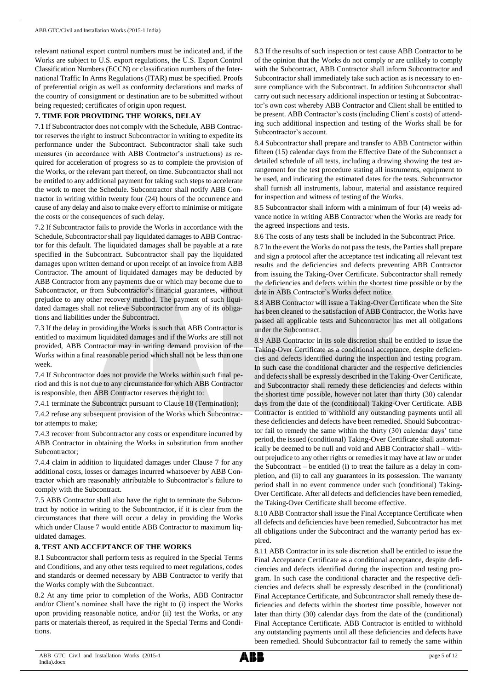relevant national export control numbers must be indicated and, if the Works are subject to U.S. export regulations, the U.S. Export Control Classification Numbers (ECCN) or classification numbers of the International Traffic In Arms Regulations (ITAR) must be specified. Proofs of preferential origin as well as conformity declarations and marks of the country of consignment or destination are to be submitted without being requested; certificates of origin upon request.

## **7. TIME FOR PROVIDING THE WORKS, DELAY**

7.1 If Subcontractor does not comply with the Schedule, ABB Contractor reserves the right to instruct Subcontractor in writing to expedite its performance under the Subcontract. Subcontractor shall take such measures (in accordance with ABB Contractor's instructions) as required for acceleration of progress so as to complete the provision of the Works, or the relevant part thereof, on time. Subcontractor shall not be entitled to any additional payment for taking such steps to accelerate the work to meet the Schedule. Subcontractor shall notify ABB Contractor in writing within twenty four (24) hours of the occurrence and cause of any delay and also to make every effort to minimise or mitigate the costs or the consequences of such delay.

7.2 If Subcontractor fails to provide the Works in accordance with the Schedule, Subcontractor shall pay liquidated damages to ABB Contractor for this default. The liquidated damages shall be payable at a rate specified in the Subcontract. Subcontractor shall pay the liquidated damages upon written demand or upon receipt of an invoice from ABB Contractor. The amount of liquidated damages may be deducted by ABB Contractor from any payments due or which may become due to Subcontractor, or from Subcontractor's financial guarantees, without prejudice to any other recovery method. The payment of such liquidated damages shall not relieve Subcontractor from any of its obligations and liabilities under the Subcontract.

7.3 If the delay in providing the Works is such that ABB Contractor is entitled to maximum liquidated damages and if the Works are still not provided, ABB Contractor may in writing demand provision of the Works within a final reasonable period which shall not be less than one week.

7.4 If Subcontractor does not provide the Works within such final period and this is not due to any circumstance for which ABB Contractor is responsible, then ABB Contractor reserves the right to:

7.4.1 terminate the Subcontract pursuant to Clause 18 (Termination);

7.4.2 refuse any subsequent provision of the Works which Subcontractor attempts to make;

7.4.3 recover from Subcontractor any costs or expenditure incurred by ABB Contractor in obtaining the Works in substitution from another Subcontractor;

7.4.4 claim in addition to liquidated damages under Clause 7 for any additional costs, losses or damages incurred whatsoever by ABB Contractor which are reasonably attributable to Subcontractor's failure to comply with the Subcontract.

7.5 ABB Contractor shall also have the right to terminate the Subcontract by notice in writing to the Subcontractor, if it is clear from the circumstances that there will occur a delay in providing the Works which under Clause 7 would entitle ABB Contractor to maximum liquidated damages.

#### **8. TEST AND ACCEPTANCE OF THE WORKS**

8.1 Subcontractor shall perform tests as required in the Special Terms and Conditions, and any other tests required to meet regulations, codes and standards or deemed necessary by ABB Contractor to verify that the Works comply with the Subcontract.

8.2 At any time prior to completion of the Works, ABB Contractor and/or Client's nominee shall have the right to (i) inspect the Works upon providing reasonable notice, and/or (ii) test the Works, or any parts or materials thereof, as required in the Special Terms and Conditions.

8.3 If the results of such inspection or test cause ABB Contractor to be of the opinion that the Works do not comply or are unlikely to comply with the Subcontract, ABB Contractor shall inform Subcontractor and Subcontractor shall immediately take such action as is necessary to ensure compliance with the Subcontract. In addition Subcontractor shall carry out such necessary additional inspection or testing at Subcontractor's own cost whereby ABB Contractor and Client shall be entitled to be present. ABB Contractor's costs (including Client's costs) of attending such additional inspection and testing of the Works shall be for Subcontractor's account.

8.4 Subcontractor shall prepare and transfer to ABB Contractor within fifteen (15) calendar days from the Effective Date of the Subcontract a detailed schedule of all tests, including a drawing showing the test arrangement for the test procedure stating all instruments, equipment to be used, and indicating the estimated dates for the tests. Subcontractor shall furnish all instruments, labour, material and assistance required for inspection and witness of testing of the Works.

8.5 Subcontractor shall inform with a minimum of four (4) weeks advance notice in writing ABB Contractor when the Works are ready for the agreed inspections and tests.

8.6 The costs of any tests shall be included in the Subcontract Price.

8.7 In the event the Works do not pass the tests, the Parties shall prepare and sign a protocol after the acceptance test indicating all relevant test results and the deficiencies and defects preventing ABB Contractor from issuing the Taking-Over Certificate. Subcontractor shall remedy the deficiencies and defects within the shortest time possible or by the date in ABB Contractor's Works defect notice.

8.8 ABB Contractor will issue a Taking-Over Certificate when the Site has been cleaned to the satisfaction of ABB Contractor, the Works have passed all applicable tests and Subcontractor has met all obligations under the Subcontract.

8.9 ABB Contractor in its sole discretion shall be entitled to issue the Taking-Over Certificate as a conditional acceptance, despite deficiencies and defects identified during the inspection and testing program. In such case the conditional character and the respective deficiencies and defects shall be expressly described in the Taking-Over Certificate, and Subcontractor shall remedy these deficiencies and defects within the shortest time possible, however not later than thirty (30) calendar days from the date of the (conditional) Taking-Over Certificate. ABB Contractor is entitled to withhold any outstanding payments until all these deficiencies and defects have been remedied. Should Subcontractor fail to remedy the same within the thirty (30) calendar days' time period, the issued (conditional) Taking-Over Certificate shall automatically be deemed to be null and void and ABB Contractor shall – without prejudice to any other rights or remedies it may have at law or under the Subcontract – be entitled (i) to treat the failure as a delay in completion, and (ii) to call any guarantees in its possession. The warranty period shall in no event commence under such (conditional) Taking-Over Certificate. After all defects and deficiencies have been remedied, the Taking-Over Certificate shall become effective.

8.10 ABB Contractor shall issue the Final Acceptance Certificate when all defects and deficiencies have been remedied, Subcontractor has met all obligations under the Subcontract and the warranty period has expired.

8.11 ABB Contractor in its sole discretion shall be entitled to issue the Final Acceptance Certificate as a conditional acceptance, despite deficiencies and defects identified during the inspection and testing program. In such case the conditional character and the respective deficiencies and defects shall be expressly described in the (conditional) Final Acceptance Certificate, and Subcontractor shall remedy these deficiencies and defects within the shortest time possible, however not later than thirty (30) calendar days from the date of the (conditional) Final Acceptance Certificate. ABB Contractor is entitled to withhold any outstanding payments until all these deficiencies and defects have been remedied. Should Subcontractor fail to remedy the same within

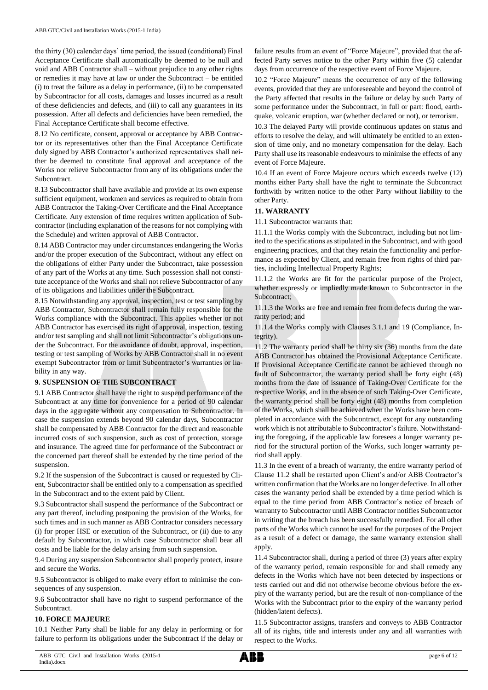the thirty (30) calendar days' time period, the issued (conditional) Final Acceptance Certificate shall automatically be deemed to be null and void and ABB Contractor shall – without prejudice to any other rights or remedies it may have at law or under the Subcontract – be entitled (i) to treat the failure as a delay in performance, (ii) to be compensated by Subcontractor for all costs, damages and losses incurred as a result of these deficiencies and defects, and (iii) to call any guarantees in its possession. After all defects and deficiencies have been remedied, the Final Acceptance Certificate shall become effective.

8.12 No certificate, consent, approval or acceptance by ABB Contractor or its representatives other than the Final Acceptance Certificate duly signed by ABB Contractor's authorized representatives shall neither be deemed to constitute final approval and acceptance of the Works nor relieve Subcontractor from any of its obligations under the Subcontract.

8.13 Subcontractor shall have available and provide at its own expense sufficient equipment, workmen and services as required to obtain from ABB Contractor the Taking-Over Certificate and the Final Acceptance Certificate. Any extension of time requires written application of Subcontractor (including explanation of the reasons for not complying with the Schedule) and written approval of ABB Contractor.

8.14 ABB Contractor may under circumstances endangering the Works and/or the proper execution of the Subcontract, without any effect on the obligations of either Party under the Subcontract, take possession of any part of the Works at any time. Such possession shall not constitute acceptance of the Works and shall not relieve Subcontractor of any of its obligations and liabilities under the Subcontract.

8.15 Notwithstanding any approval, inspection, test or test sampling by ABB Contractor, Subcontractor shall remain fully responsible for the Works compliance with the Subcontract. This applies whether or not ABB Contractor has exercised its right of approval, inspection, testing and/or test sampling and shall not limit Subcontractor's obligations under the Subcontract. For the avoidance of doubt, approval, inspection, testing or test sampling of Works by ABB Contractor shall in no event exempt Subcontractor from or limit Subcontractor's warranties or liability in any way.

#### **9. SUSPENSION OF THE SUBCONTRACT**

9.1 ABB Contractor shall have the right to suspend performance of the Subcontract at any time for convenience for a period of 90 calendar days in the aggregate without any compensation to Subcontractor. In case the suspension extends beyond 90 calendar days, Subcontractor shall be compensated by ABB Contractor for the direct and reasonable incurred costs of such suspension, such as cost of protection, storage and insurance. The agreed time for performance of the Subcontract or the concerned part thereof shall be extended by the time period of the suspension.

9.2 If the suspension of the Subcontract is caused or requested by Client, Subcontractor shall be entitled only to a compensation as specified in the Subcontract and to the extent paid by Client.

9.3 Subcontractor shall suspend the performance of the Subcontract or any part thereof, including postponing the provision of the Works, for such times and in such manner as ABB Contractor considers necessary (i) for proper HSE or execution of the Subcontract, or (ii) due to any default by Subcontractor, in which case Subcontractor shall bear all costs and be liable for the delay arising from such suspension.

9.4 During any suspension Subcontractor shall properly protect, insure and secure the Works.

9.5 Subcontractor is obliged to make every effort to minimise the consequences of any suspension.

9.6 Subcontractor shall have no right to suspend performance of the Subcontract.

#### **10. FORCE MAJEURE**

10.1 Neither Party shall be liable for any delay in performing or for failure to perform its obligations under the Subcontract if the delay or

failure results from an event of "Force Majeure", provided that the affected Party serves notice to the other Party within five (5) calendar days from occurrence of the respective event of Force Majeure.

10.2 "Force Majeure" means the occurrence of any of the following events, provided that they are unforeseeable and beyond the control of the Party affected that results in the failure or delay by such Party of some performance under the Subcontract, in full or part: flood, earthquake, volcanic eruption, war (whether declared or not), or terrorism.

10.3 The delayed Party will provide continuous updates on status and efforts to resolve the delay, and will ultimately be entitled to an extension of time only, and no monetary compensation for the delay. Each Party shall use its reasonable endeavours to minimise the effects of any event of Force Majeure.

10.4 If an event of Force Majeure occurs which exceeds twelve (12) months either Party shall have the right to terminate the Subcontract forthwith by written notice to the other Party without liability to the other Party.

#### **11. WARRANTY**

11.1 Subcontractor warrants that:

11.1.1 the Works comply with the Subcontract, including but not limited to the specifications as stipulated in the Subcontract, and with good engineering practices, and that they retain the functionality and performance as expected by Client, and remain free from rights of third parties, including Intellectual Property Rights;

11.1.2 the Works are fit for the particular purpose of the Project, whether expressly or impliedly made known to Subcontractor in the Subcontract;

11.1.3 the Works are free and remain free from defects during the warranty period; and

11.1.4 the Works comply with Clauses 3.1.1 and 19 (Compliance, Integrity).

11.2 The warranty period shall be thirty six (36) months from the date ABB Contractor has obtained the Provisional Acceptance Certificate. If Provisional Acceptance Certificate cannot be achieved through no fault of Subcontractor, the warranty period shall be forty eight (48) months from the date of issuance of Taking-Over Certificate for the respective Works, and in the absence of such Taking-Over Certificate, the warranty period shall be forty eight (48) months from completion of the Works, which shall be achieved when the Works have been completed in accordance with the Subcontract, except for any outstanding work which is not attributable to Subcontractor's failure. Notwithstanding the foregoing, if the applicable law foresees a longer warranty period for the structural portion of the Works, such longer warranty period shall apply.

11.3 In the event of a breach of warranty, the entire warranty period of Clause 11.2 shall be restarted upon Client's and/or ABB Contractor's written confirmation that the Works are no longer defective. In all other cases the warranty period shall be extended by a time period which is equal to the time period from ABB Contractor's notice of breach of warranty to Subcontractor until ABB Contractor notifies Subcontractor in writing that the breach has been successfully remedied. For all other parts of the Works which cannot be used for the purposes of the Project as a result of a defect or damage, the same warranty extension shall apply.

11.4 Subcontractor shall, during a period of three (3) years after expiry of the warranty period, remain responsible for and shall remedy any defects in the Works which have not been detected by inspections or tests carried out and did not otherwise become obvious before the expiry of the warranty period, but are the result of non-compliance of the Works with the Subcontract prior to the expiry of the warranty period (hidden/latent defects).

11.5 Subcontractor assigns, transfers and conveys to ABB Contractor all of its rights, title and interests under any and all warranties with respect to the Works.

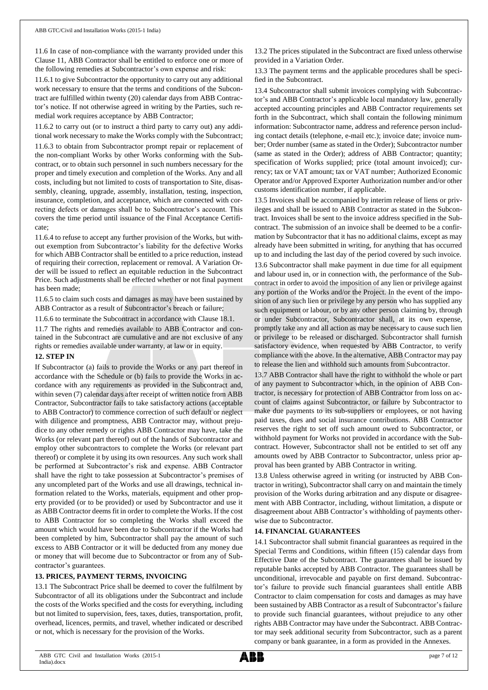11.6 In case of non-compliance with the warranty provided under this Clause 11, ABB Contractor shall be entitled to enforce one or more of the following remedies at Subcontractor's own expense and risk:

11.6.1 to give Subcontractor the opportunity to carry out any additional work necessary to ensure that the terms and conditions of the Subcontract are fulfilled within twenty (20) calendar days from ABB Contractor's notice. If not otherwise agreed in writing by the Parties, such remedial work requires acceptance by ABB Contractor;

11.6.2 to carry out (or to instruct a third party to carry out) any additional work necessary to make the Works comply with the Subcontract; 11.6.3 to obtain from Subcontractor prompt repair or replacement of the non-compliant Works by other Works conforming with the Subcontract, or to obtain such personnel in such numbers necessary for the proper and timely execution and completion of the Works. Any and all costs, including but not limited to costs of transportation to Site, disassembly, cleaning, upgrade, assembly, installation, testing, inspection, insurance, completion, and acceptance, which are connected with correcting defects or damages shall be to Subcontractor's account. This covers the time period until issuance of the Final Acceptance Certificate;

11.6.4 to refuse to accept any further provision of the Works, but without exemption from Subcontractor's liability for the defective Works for which ABB Contractor shall be entitled to a price reduction, instead of requiring their correction, replacement or removal. A Variation Order will be issued to reflect an equitable reduction in the Subcontract Price. Such adjustments shall be effected whether or not final payment has been made;

11.6.5 to claim such costs and damages as may have been sustained by ABB Contractor as a result of Subcontractor's breach or failure;

11.6.6 to terminate the Subcontract in accordance with Clause 18.1.

11.7 The rights and remedies available to ABB Contractor and contained in the Subcontract are cumulative and are not exclusive of any rights or remedies available under warranty, at law or in equity.

#### **12. STEP IN**

If Subcontractor (a) fails to provide the Works or any part thereof in accordance with the Schedule or (b) fails to provide the Works in accordance with any requirements as provided in the Subcontract and, within seven (7) calendar days after receipt of written notice from ABB Contractor, Subcontractor fails to take satisfactory actions (acceptable to ABB Contractor) to commence correction of such default or neglect with diligence and promptness, ABB Contractor may, without prejudice to any other remedy or rights ABB Contractor may have, take the Works (or relevant part thereof) out of the hands of Subcontractor and employ other subcontractors to complete the Works (or relevant part thereof) or complete it by using its own resources. Any such work shall be performed at Subcontractor's risk and expense. ABB Contractor shall have the right to take possession at Subcontractor's premises of any uncompleted part of the Works and use all drawings, technical information related to the Works, materials, equipment and other property provided (or to be provided) or used by Subcontractor and use it as ABB Contractor deems fit in order to complete the Works. If the cost to ABB Contractor for so completing the Works shall exceed the amount which would have been due to Subcontractor if the Works had been completed by him, Subcontractor shall pay the amount of such excess to ABB Contractor or it will be deducted from any money due or money that will become due to Subcontractor or from any of Subcontractor's guarantees.

# **13. PRICES, PAYMENT TERMS, INVOICING**

13.1 The Subcontract Price shall be deemed to cover the fulfilment by Subcontractor of all its obligations under the Subcontract and include the costs of the Works specified and the costs for everything, including but not limited to supervision, fees, taxes, duties, transportation, profit, overhead, licences, permits, and travel, whether indicated or described or not, which is necessary for the provision of the Works.

13.2 The prices stipulated in the Subcontract are fixed unless otherwise provided in a Variation Order.

13.3 The payment terms and the applicable procedures shall be specified in the Subcontract.

13.4 Subcontractor shall submit invoices complying with Subcontractor's and ABB Contractor's applicable local mandatory law, generally accepted accounting principles and ABB Contractor requirements set forth in the Subcontract, which shall contain the following minimum information: Subcontractor name, address and reference person including contact details (telephone, e-mail etc.); invoice date; invoice number; Order number (same as stated in the Order); Subcontractor number (same as stated in the Order); address of ABB Contractor; quantity; specification of Works supplied; price (total amount invoiced); currency; tax or VAT amount; tax or VAT number; Authorized Economic Operator and/or Approved Exporter Authorization number and/or other customs identification number, if applicable.

13.5 Invoices shall be accompanied by interim release of liens or privileges and shall be issued to ABB Contractor as stated in the Subcontract. Invoices shall be sent to the invoice address specified in the Subcontract. The submission of an invoice shall be deemed to be a confirmation by Subcontractor that it has no additional claims, except as may already have been submitted in writing, for anything that has occurred up to and including the last day of the period covered by such invoice. 13.6 Subcontractor shall make payment in due time for all equipment and labour used in, or in connection with, the performance of the Subcontract in order to avoid the imposition of any lien or privilege against any portion of the Works and/or the Project. In the event of the imposition of any such lien or privilege by any person who has supplied any such equipment or labour, or by any other person claiming by, through or under Subcontractor, Subcontractor shall, at its own expense, promptly take any and all action as may be necessary to cause such lien or privilege to be released or discharged. Subcontractor shall furnish satisfactory evidence, when requested by ABB Contractor, to verify compliance with the above. In the alternative, ABB Contractor may pay to release the lien and withhold such amounts from Subcontractor.

13.7 ABB Contractor shall have the right to withhold the whole or part of any payment to Subcontractor which, in the opinion of ABB Contractor, is necessary for protection of ABB Contractor from loss on account of claims against Subcontractor, or failure by Subcontractor to make due payments to its sub-suppliers or employees, or not having paid taxes, dues and social insurance contributions. ABB Contractor reserves the right to set off such amount owed to Subcontractor, or withhold payment for Works not provided in accordance with the Subcontract. However, Subcontractor shall not be entitled to set off any amounts owed by ABB Contractor to Subcontractor, unless prior approval has been granted by ABB Contractor in writing.

13.8 Unless otherwise agreed in writing (or instructed by ABB Contractor in writing), Subcontractorshall carry on and maintain the timely provision of the Works during arbitration and any dispute or disagreement with ABB Contractor, including, without limitation, a dispute or disagreement about ABB Contractor's withholding of payments otherwise due to Subcontractor.

# **14. FINANCIAL GUARANTEES**

14.1 Subcontractor shall submit financial guarantees as required in the Special Terms and Conditions, within fifteen (15) calendar days from Effective Date of the Subcontract. The guarantees shall be issued by reputable banks accepted by ABB Contractor. The guarantees shall be unconditional, irrevocable and payable on first demand. Subcontractor's failure to provide such financial guarantees shall entitle ABB Contractor to claim compensation for costs and damages as may have been sustained by ABB Contractor as a result of Subcontractor's failure to provide such financial guarantees, without prejudice to any other rights ABB Contractor may have under the Subcontract. ABB Contractor may seek additional security from Subcontractor, such as a parent company or bank guarantee, in a form as provided in the Annexes.

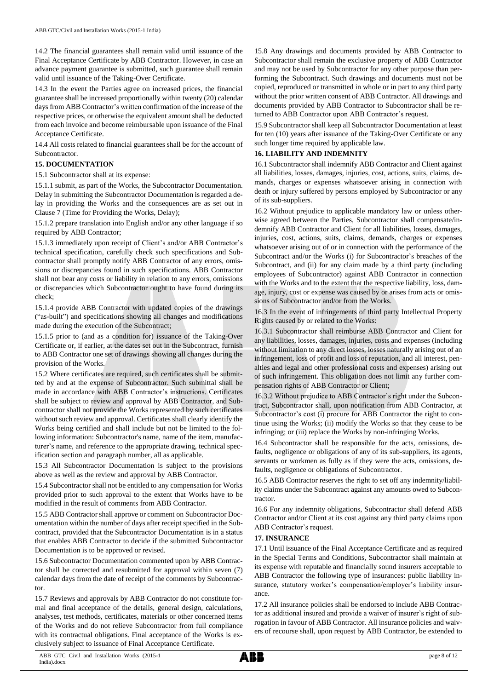14.2 The financial guarantees shall remain valid until issuance of the Final Acceptance Certificate by ABB Contractor. However, in case an advance payment guarantee is submitted, such guarantee shall remain valid until issuance of the Taking-Over Certificate.

14.3 In the event the Parties agree on increased prices, the financial guarantee shall be increased proportionally within twenty (20) calendar days from ABB Contractor's written confirmation of the increase of the respective prices, or otherwise the equivalent amount shall be deducted from each invoice and become reimbursable upon issuance of the Final Acceptance Certificate.

14.4 All costs related to financial guarantees shall be for the account of Subcontractor.

## **15. DOCUMENTATION**

15.1 Subcontractor shall at its expense:

15.1.1 submit, as part of the Works, the Subcontractor Documentation. Delay in submitting the Subcontractor Documentation is regarded a delay in providing the Works and the consequences are as set out in Clause 7 (Time for Providing the Works, Delay);

15.1.2 prepare translation into English and/or any other language if so required by ABB Contractor;

15.1.3 immediately upon receipt of Client's and/or ABB Contractor's technical specification, carefully check such specifications and Subcontractor shall promptly notify ABB Contractor of any errors, omissions or discrepancies found in such specifications. ABB Contractor shall not bear any costs or liability in relation to any errors, omissions or discrepancies which Subcontractor ought to have found during its check;

15.1.4 provide ABB Contractor with updated copies of the drawings ("as-built") and specifications showing all changes and modifications made during the execution of the Subcontract;

15.1.5 prior to (and as a condition for) issuance of the Taking-Over Certificate or, if earlier, at the dates set out in the Subcontract, furnish to ABB Contractor one set of drawings showing all changes during the provision of the Works.

15.2 Where certificates are required, such certificates shall be submitted by and at the expense of Subcontractor. Such submittal shall be made in accordance with ABB Contractor's instructions. Certificates shall be subject to review and approval by ABB Contractor, and Subcontractor shall not provide the Works represented by such certificates without such review and approval. Certificates shall clearly identify the Works being certified and shall include but not be limited to the following information: Subcontractor's name, name of the item, manufacturer's name, and reference to the appropriate drawing, technical specification section and paragraph number, all as applicable.

15.3 All Subcontractor Documentation is subject to the provisions above as well as the review and approval by ABB Contractor.

15.4 Subcontractor shall not be entitled to any compensation for Works provided prior to such approval to the extent that Works have to be modified in the result of comments from ABB Contractor.

15.5 ABB Contractor shall approve or comment on Subcontractor Documentation within the number of days after receipt specified in the Subcontract, provided that the Subcontractor Documentation is in a status that enables ABB Contractor to decide if the submitted Subcontractor Documentation is to be approved or revised.

15.6 Subcontractor Documentation commented upon by ABB Contractor shall be corrected and resubmitted for approval within seven (7) calendar days from the date of receipt of the comments by Subcontractor.

15.7 Reviews and approvals by ABB Contractor do not constitute formal and final acceptance of the details, general design, calculations, analyses, test methods, certificates, materials or other concerned items of the Works and do not relieve Subcontractor from full compliance with its contractual obligations. Final acceptance of the Works is exclusively subject to issuance of Final Acceptance Certificate.

15.8 Any drawings and documents provided by ABB Contractor to Subcontractor shall remain the exclusive property of ABB Contractor and may not be used by Subcontractor for any other purpose than performing the Subcontract. Such drawings and documents must not be copied, reproduced or transmitted in whole or in part to any third party without the prior written consent of ABB Contractor. All drawings and documents provided by ABB Contractor to Subcontractor shall be returned to ABB Contractor upon ABB Contractor's request.

15.9 Subcontractor shall keep all Subcontractor Documentation at least for ten (10) years after issuance of the Taking-Over Certificate or any such longer time required by applicable law.

## **16. LIABILITY AND INDEMNITY**

16.1 Subcontractor shall indemnify ABB Contractor and Client against all liabilities, losses, damages, injuries, cost, actions, suits, claims, demands, charges or expenses whatsoever arising in connection with death or injury suffered by persons employed by Subcontractor or any of its sub-suppliers.

16.2 Without prejudice to applicable mandatory law or unless otherwise agreed between the Parties, Subcontractor shall compensate/indemnify ABB Contractor and Client for all liabilities, losses, damages, injuries, cost, actions, suits, claims, demands, charges or expenses whatsoever arising out of or in connection with the performance of the Subcontract and/or the Works (i) for Subcontractor's breaches of the Subcontract, and (ii) for any claim made by a third party (including employees of Subcontractor) against ABB Contractor in connection with the Works and to the extent that the respective liability, loss, damage, injury, cost or expense was caused by or arises from acts or omissions of Subcontractor and/or from the Works.

16.3 In the event of infringements of third party Intellectual Property Rights caused by or related to the Works:

16.3.1 Subcontractor shall reimburse ABB Contractor and Client for any liabilities, losses, damages, injuries, costs and expenses (including without limitation to any direct losses, losses naturally arising out of an infringement, loss of profit and loss of reputation, and all interest, penalties and legal and other professional costs and expenses) arising out of such infringement. This obligation does not limit any further compensation rights of ABB Contractor or Client;

16.3.2 Without prejudice to ABB Contractor's right under the Subcontract, Subcontractor shall, upon notification from ABB Contractor, at Subcontractor's cost (i) procure for ABB Contractor the right to continue using the Works; (ii) modify the Works so that they cease to be infringing; or (iii) replace the Works by non-infringing Works.

16.4 Subcontractor shall be responsible for the acts, omissions, defaults, negligence or obligations of any of its sub-suppliers, its agents, servants or workmen as fully as if they were the acts, omissions, defaults, negligence or obligations of Subcontractor.

16.5 ABB Contractor reserves the right to set off any indemnity/liability claims under the Subcontract against any amounts owed to Subcontractor.

16.6 For any indemnity obligations, Subcontractor shall defend ABB Contractor and/or Client at its cost against any third party claims upon ABB Contractor's request.

#### **17. INSURANCE**

17.1 Until issuance of the Final Acceptance Certificate and as required in the Special Terms and Conditions, Subcontractor shall maintain at its expense with reputable and financially sound insurers acceptable to ABB Contractor the following type of insurances: public liability insurance, statutory worker's compensation/employer's liability insurance.

17.2 All insurance policies shall be endorsed to include ABB Contractor as additional insured and provide a waiver of insurer's right of subrogation in favour of ABB Contractor. All insurance policies and waivers of recourse shall, upon request by ABB Contractor, be extended to

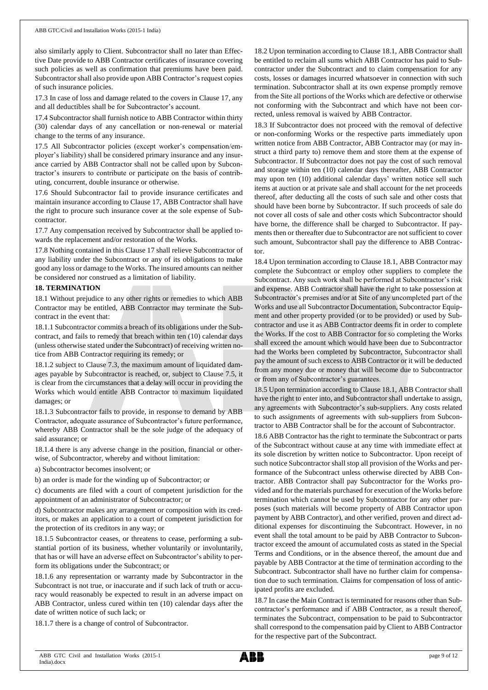also similarly apply to Client. Subcontractor shall no later than Effective Date provide to ABB Contractor certificates of insurance covering such policies as well as confirmation that premiums have been paid. Subcontractor shall also provide upon ABB Contractor's request copies of such insurance policies.

17.3 In case of loss and damage related to the covers in Clause 17, any and all deductibles shall be for Subcontractor's account.

17.4 Subcontractor shall furnish notice to ABB Contractor within thirty (30) calendar days of any cancellation or non-renewal or material change to the terms of any insurance.

17.5 All Subcontractor policies (except worker's compensation/employer's liability) shall be considered primary insurance and any insurance carried by ABB Contractor shall not be called upon by Subcontractor's insurers to contribute or participate on the basis of contributing, concurrent, double insurance or otherwise.

17.6 Should Subcontractor fail to provide insurance certificates and maintain insurance according to Clause 17, ABB Contractor shall have the right to procure such insurance cover at the sole expense of Subcontractor.

17.7 Any compensation received by Subcontractor shall be applied towards the replacement and/or restoration of the Works.

17.8 Nothing contained in this Clause 17 shall relieve Subcontractor of any liability under the Subcontract or any of its obligations to make good any loss or damage to the Works. The insured amounts can neither be considered nor construed as a limitation of liability.

#### **18. TERMINATION**

18.1 Without prejudice to any other rights or remedies to which ABB Contractor may be entitled, ABB Contractor may terminate the Subcontract in the event that:

18.1.1 Subcontractor commits a breach of its obligations under the Subcontract, and fails to remedy that breach within ten (10) calendar days (unless otherwise stated under the Subcontract) of receiving written notice from ABB Contractor requiring its remedy; or

18.1.2 subject to Clause 7.3, the maximum amount of liquidated damages payable by Subcontractor is reached, or, subject to Clause 7.5, it is clear from the circumstances that a delay will occur in providing the Works which would entitle ABB Contractor to maximum liquidated damages; or

18.1.3 Subcontractor fails to provide, in response to demand by ABB Contractor, adequate assurance of Subcontractor's future performance, whereby ABB Contractor shall be the sole judge of the adequacy of said assurance; or

18.1.4 there is any adverse change in the position, financial or otherwise, of Subcontractor, whereby and without limitation:

a) Subcontractor becomes insolvent; or

b) an order is made for the winding up of Subcontractor; or

c) documents are filed with a court of competent jurisdiction for the appointment of an administrator of Subcontractor; or

d) Subcontractor makes any arrangement or composition with its creditors, or makes an application to a court of competent jurisdiction for the protection of its creditors in any way; or

18.1.5 Subcontractor ceases, or threatens to cease, performing a substantial portion of its business, whether voluntarily or involuntarily, that has or will have an adverse effect on Subcontractor's ability to perform its obligations under the Subcontract; or

18.1.6 any representation or warranty made by Subcontractor in the Subcontract is not true, or inaccurate and if such lack of truth or accuracy would reasonably be expected to result in an adverse impact on ABB Contractor, unless cured within ten (10) calendar days after the date of written notice of such lack; or

18.1.7 there is a change of control of Subcontractor.

18.2 Upon termination according to Clause 18.1, ABB Contractor shall be entitled to reclaim all sums which ABB Contractor has paid to Subcontractor under the Subcontract and to claim compensation for any costs, losses or damages incurred whatsoever in connection with such termination. Subcontractor shall at its own expense promptly remove from the Site all portions of the Works which are defective or otherwise not conforming with the Subcontract and which have not been corrected, unless removal is waived by ABB Contractor.

18.3 If Subcontractor does not proceed with the removal of defective or non-conforming Works or the respective parts immediately upon written notice from ABB Contractor, ABB Contractor may (or may instruct a third party to) remove them and store them at the expense of Subcontractor. If Subcontractor does not pay the cost of such removal and storage within ten (10) calendar days thereafter, ABB Contractor may upon ten (10) additional calendar days' written notice sell such items at auction or at private sale and shall account for the net proceeds thereof, after deducting all the costs of such sale and other costs that should have been borne by Subcontractor. If such proceeds of sale do not cover all costs of sale and other costs which Subcontractor should have borne, the difference shall be charged to Subcontractor. If payments then or thereafter due to Subcontractor are not sufficient to cover such amount, Subcontractor shall pay the difference to ABB Contractor.

18.4 Upon termination according to Clause 18.1, ABB Contractor may complete the Subcontract or employ other suppliers to complete the Subcontract. Any such work shall be performed at Subcontractor's risk and expense. ABB Contractor shall have the right to take possession at Subcontractor's premises and/or at Site of any uncompleted part of the Works and use all Subcontractor Documentation, Subcontractor Equipment and other property provided (or to be provided) or used by Subcontractor and use it as ABB Contractor deems fit in order to complete the Works. If the cost to ABB Contractor for so completing the Works shall exceed the amount which would have been due to Subcontractor had the Works been completed by Subcontractor, Subcontractor shall pay the amount of such excess to ABB Contractor or it will be deducted from any money due or money that will become due to Subcontractor or from any of Subcontractor's guarantees.

18.5 Upon termination according to Clause 18.1, ABB Contractor shall have the right to enter into, and Subcontractor shall undertake to assign, any agreements with Subcontractor's sub-suppliers. Any costs related to such assignments of agreements with sub-suppliers from Subcontractor to ABB Contractor shall be for the account of Subcontractor.

18.6 ABB Contractor has the right to terminate the Subcontract or parts of the Subcontract without cause at any time with immediate effect at its sole discretion by written notice to Subcontractor. Upon receipt of such notice Subcontractor shall stop all provision of the Works and performance of the Subcontract unless otherwise directed by ABB Contractor. ABB Contractor shall pay Subcontractor for the Works provided and for the materials purchased for execution of the Works before termination which cannot be used by Subcontractor for any other purposes (such materials will become property of ABB Contractor upon payment by ABB Contractor), and other verified, proven and direct additional expenses for discontinuing the Subcontract. However, in no event shall the total amount to be paid by ABB Contractor to Subcontractor exceed the amount of accumulated costs as stated in the Special Terms and Conditions, or in the absence thereof, the amount due and payable by ABB Contractor at the time of termination according to the Subcontract. Subcontractor shall have no further claim for compensation due to such termination. Claims for compensation of loss of anticipated profits are excluded.

18.7 In case the Main Contract is terminated for reasons other than Subcontractor's performance and if ABB Contractor, as a result thereof, terminates the Subcontract, compensation to be paid to Subcontractor shall correspond to the compensation paid by Client to ABB Contractor for the respective part of the Subcontract.

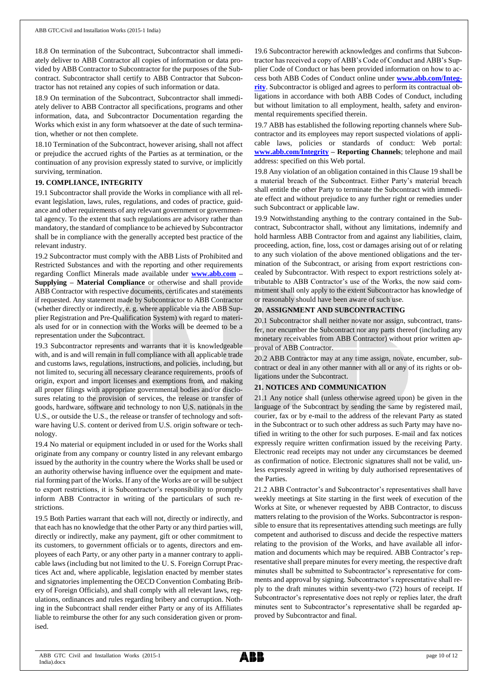18.8 On termination of the Subcontract, Subcontractor shall immediately deliver to ABB Contractor all copies of information or data provided by ABB Contractor to Subcontractor for the purposes of the Subcontract. Subcontractor shall certify to ABB Contractor that Subcontractor has not retained any copies of such information or data.

18.9 On termination of the Subcontract, Subcontractor shall immediately deliver to ABB Contractor all specifications, programs and other information, data, and Subcontractor Documentation regarding the Works which exist in any form whatsoever at the date of such termination, whether or not then complete.

18.10 Termination of the Subcontract, however arising, shall not affect or prejudice the accrued rights of the Parties as at termination, or the continuation of any provision expressly stated to survive, or implicitly surviving, termination.

## **19. COMPLIANCE, INTEGRITY**

19.1 Subcontractor shall provide the Works in compliance with all relevant legislation, laws, rules, regulations, and codes of practice, guidance and other requirements of any relevant government or governmental agency. To the extent that such regulations are advisory rather than mandatory, the standard of compliance to be achieved by Subcontractor shall be in compliance with the generally accepted best practice of the relevant industry.

19.2 Subcontractor must comply with the ABB Lists of Prohibited and Restricted Substances and with the reporting and other requirements regarding Conflict Minerals made available under **[www.abb.com](http://www.abb.com/) – Supplying – Material Compliance** or otherwise and shall provide ABB Contractor with respective documents, certificates and statements if requested. Any statement made by Subcontractor to ABB Contractor (whether directly or indirectly, e. g. where applicable via the ABB Supplier Registration and Pre-Qualification System) with regard to materials used for or in connection with the Works will be deemed to be a representation under the Subcontract.

19.3 Subcontractor represents and warrants that it is knowledgeable with, and is and will remain in full compliance with all applicable trade and customs laws, regulations, instructions, and policies, including, but not limited to, securing all necessary clearance requirements, proofs of origin, export and import licenses and exemptions from, and making all proper filings with appropriate governmental bodies and/or disclosures relating to the provision of services, the release or transfer of goods, hardware, software and technology to non U.S. nationals in the U.S., or outside the U.S., the release or transfer of technology and software having U.S. content or derived from U.S. origin software or technology.

19.4 No material or equipment included in or used for the Works shall originate from any company or country listed in any relevant embargo issued by the authority in the country where the Works shall be used or an authority otherwise having influence over the equipment and material forming part of the Works. If any of the Works are or will be subject to export restrictions, it is Subcontractor's responsibility to promptly inform ABB Contractor in writing of the particulars of such restrictions.

19.5 Both Parties warrant that each will not, directly or indirectly, and that each has no knowledge that the other Party or any third parties will, directly or indirectly, make any payment, gift or other commitment to its customers, to government officials or to agents, directors and employees of each Party, or any other party in a manner contrary to applicable laws (including but not limited to the U. S. Foreign Corrupt Practices Act and, where applicable, legislation enacted by member states and signatories implementing the OECD Convention Combating Bribery of Foreign Officials), and shall comply with all relevant laws, regulations, ordinances and rules regarding bribery and corruption. Nothing in the Subcontract shall render either Party or any of its Affiliates liable to reimburse the other for any such consideration given or promised.

19.6 Subcontractor herewith acknowledges and confirms that Subcontractor has received a copy of ABB's Code of Conduct and ABB's Supplier Code of Conduct or has been provided information on how to access both ABB Codes of Conduct online under **[www.abb.com/Integ](http://www.abb.com/Integrity)[rity](http://www.abb.com/Integrity)**. Subcontractor is obliged and agrees to perform its contractual obligations in accordance with both ABB Codes of Conduct, including but without limitation to all employment, health, safety and environmental requirements specified therein.

19.7 ABB has established the following reporting channels where Subcontractor and its employees may report suspected violations of applicable laws, policies or standards of conduct: Web portal: **[www.abb.com/Integrity](http://www.abb.com/Integrity) – Reporting Channels**; telephone and mail address: specified on this Web portal.

19.8 Any violation of an obligation contained in this Clause 19 shall be a material breach of the Subcontract. Either Party's material breach shall entitle the other Party to terminate the Subcontract with immediate effect and without prejudice to any further right or remedies under such Subcontract or applicable law.

19.9 Notwithstanding anything to the contrary contained in the Subcontract, Subcontractor shall, without any limitations, indemnify and hold harmless ABB Contractor from and against any liabilities, claim, proceeding, action, fine, loss, cost or damages arising out of or relating to any such violation of the above mentioned obligations and the termination of the Subcontract, or arising from export restrictions concealed by Subcontractor. With respect to export restrictions solely attributable to ABB Contractor's use of the Works, the now said commitment shall only apply to the extent Subcontractor has knowledge of or reasonably should have been aware of such use.

## **20. ASSIGNMENT AND SUBCONTRACTING**

20.1 Subcontractor shall neither novate nor assign, subcontract, transfer, nor encumber the Subcontract nor any parts thereof (including any monetary receivables from ABB Contractor) without prior written approval of ABB Contractor.

20.2 ABB Contractor may at any time assign, novate, encumber, subcontract or deal in any other manner with all or any of its rights or obligations under the Subcontract.

# **21. NOTICES AND COMMUNICATION**

21.1 Any notice shall (unless otherwise agreed upon) be given in the language of the Subcontract by sending the same by registered mail, courier, fax or by e-mail to the address of the relevant Party as stated in the Subcontract or to such other address as such Party may have notified in writing to the other for such purposes. E-mail and fax notices expressly require written confirmation issued by the receiving Party. Electronic read receipts may not under any circumstances be deemed as confirmation of notice. Electronic signatures shall not be valid, unless expressly agreed in writing by duly authorised representatives of the Parties.

21.2 ABB Contractor's and Subcontractor's representatives shall have weekly meetings at Site starting in the first week of execution of the Works at Site, or whenever requested by ABB Contractor, to discuss matters relating to the provision of the Works. Subcontractor is responsible to ensure that its representatives attending such meetings are fully competent and authorised to discuss and decide the respective matters relating to the provision of the Works, and have available all information and documents which may be required. ABB Contractor's representative shall prepare minutes for every meeting, the respective draft minutes shall be submitted to Subcontractor's representative for comments and approval by signing. Subcontractor's representative shall reply to the draft minutes within seventy-two (72) hours of receipt. If Subcontractor's representative does not reply or replies later, the draft minutes sent to Subcontractor's representative shall be regarded approved by Subcontractor and final.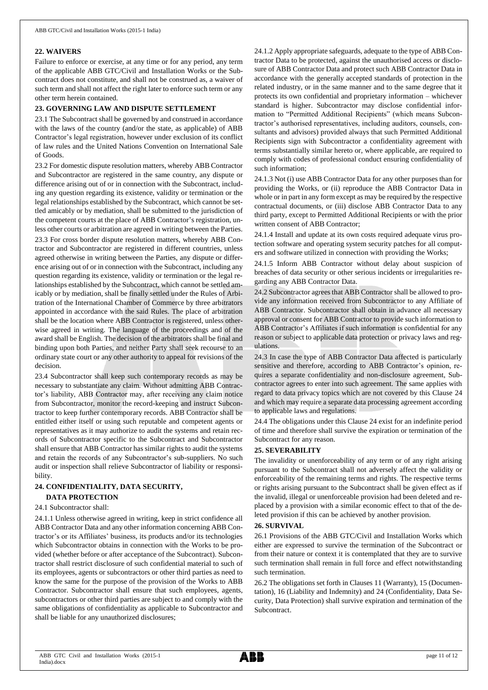#### **22. WAIVERS**

Failure to enforce or exercise, at any time or for any period, any term of the applicable ABB GTC/Civil and Installation Works or the Subcontract does not constitute, and shall not be construed as, a waiver of such term and shall not affect the right later to enforce such term or any other term herein contained.

#### **23. GOVERNING LAW AND DISPUTE SETTLEMENT**

23.1 The Subcontract shall be governed by and construed in accordance with the laws of the country (and/or the state, as applicable) of ABB Contractor's legal registration, however under exclusion of its conflict of law rules and the United Nations Convention on International Sale of Goods.

23.2 For domestic dispute resolution matters, whereby ABB Contractor and Subcontractor are registered in the same country, any dispute or difference arising out of or in connection with the Subcontract, including any question regarding its existence, validity or termination or the legal relationships established by the Subcontract, which cannot be settled amicably or by mediation, shall be submitted to the jurisdiction of the competent courts at the place of ABB Contractor's registration, unless other courts or arbitration are agreed in writing between the Parties.

23.3 For cross border dispute resolution matters, whereby ABB Contractor and Subcontractor are registered in different countries, unless agreed otherwise in writing between the Parties, any dispute or difference arising out of or in connection with the Subcontract, including any question regarding its existence, validity or termination or the legal relationships established by the Subcontract, which cannot be settled amicably or by mediation, shall be finally settled under the Rules of Arbitration of the International Chamber of Commerce by three arbitrators appointed in accordance with the said Rules. The place of arbitration shall be the location where ABB Contractor is registered, unless otherwise agreed in writing. The language of the proceedings and of the award shall be English. The decision of the arbitrators shall be final and binding upon both Parties, and neither Party shall seek recourse to an ordinary state court or any other authority to appeal for revisions of the decision.

23.4 Subcontractor shall keep such contemporary records as may be necessary to substantiate any claim. Without admitting ABB Contractor's liability, ABB Contractor may, after receiving any claim notice from Subcontractor, monitor the record-keeping and instruct Subcontractor to keep further contemporary records. ABB Contractor shall be entitled either itself or using such reputable and competent agents or representatives as it may authorize to audit the systems and retain records of Subcontractor specific to the Subcontract and Subcontractor shall ensure that ABB Contractor has similar rights to audit the systems and retain the records of any Subcontractor's sub-suppliers. No such audit or inspection shall relieve Subcontractor of liability or responsibility.

#### **24. CONFIDENTIALITY, DATA SECURITY, DATA PROTECTION**

#### 24.1 Subcontractor shall:

24.1.1 Unless otherwise agreed in writing, keep in strict confidence all ABB Contractor Data and any other information concerning ABB Contractor's or its Affiliates' business, its products and/or its technologies which Subcontractor obtains in connection with the Works to be provided (whether before or after acceptance of the Subcontract). Subcontractor shall restrict disclosure of such confidential material to such of its employees, agents or subcontractors or other third parties as need to know the same for the purpose of the provision of the Works to ABB Contractor. Subcontractor shall ensure that such employees, agents, subcontractors or other third parties are subject to and comply with the same obligations of confidentiality as applicable to Subcontractor and shall be liable for any unauthorized disclosures;

24.1.2 Apply appropriate safeguards, adequate to the type of ABB Contractor Data to be protected, against the unauthorised access or disclosure of ABB Contractor Data and protect such ABB Contractor Data in accordance with the generally accepted standards of protection in the related industry, or in the same manner and to the same degree that it protects its own confidential and proprietary information – whichever standard is higher. Subcontractor may disclose confidential information to "Permitted Additional Recipients" (which means Subcontractor's authorised representatives, including auditors, counsels, consultants and advisors) provided always that such Permitted Additional Recipients sign with Subcontractor a confidentiality agreement with terms substantially similar hereto or, where applicable, are required to comply with codes of professional conduct ensuring confidentiality of such information;

24.1.3 Not (i) use ABB Contractor Data for any other purposes than for providing the Works, or (ii) reproduce the ABB Contractor Data in whole or in part in any form except as may be required by the respective contractual documents, or (iii) disclose ABB Contractor Data to any third party, except to Permitted Additional Recipients or with the prior written consent of ABB Contractor;

24.1.4 Install and update at its own costs required adequate virus protection software and operating system security patches for all computers and software utilized in connection with providing the Works;

24.1.5 Inform ABB Contractor without delay about suspicion of breaches of data security or other serious incidents or irregularities regarding any ABB Contractor Data.

24.2 Subcontractor agrees that ABB Contractor shall be allowed to provide any information received from Subcontractor to any Affiliate of ABB Contractor. Subcontractor shall obtain in advance all necessary approval or consent for ABB Contractor to provide such information to ABB Contractor's Affiliates if such information is confidential for any reason or subject to applicable data protection or privacy laws and regulations.

24.3 In case the type of ABB Contractor Data affected is particularly sensitive and therefore, according to ABB Contractor's opinion, requires a separate confidentiality and non-disclosure agreement, Subcontractor agrees to enter into such agreement. The same applies with regard to data privacy topics which are not covered by this Clause 24 and which may require a separate data processing agreement according to applicable laws and regulations.

24.4 The obligations under this Clause 24 exist for an indefinite period of time and therefore shall survive the expiration or termination of the Subcontract for any reason.

#### **25. SEVERABILITY**

The invalidity or unenforceability of any term or of any right arising pursuant to the Subcontract shall not adversely affect the validity or enforceability of the remaining terms and rights. The respective terms or rights arising pursuant to the Subcontract shall be given effect as if the invalid, illegal or unenforceable provision had been deleted and replaced by a provision with a similar economic effect to that of the deleted provision if this can be achieved by another provision.

#### **26. SURVIVAL**

26.1 Provisions of the ABB GTC/Civil and Installation Works which either are expressed to survive the termination of the Subcontract or from their nature or context it is contemplated that they are to survive such termination shall remain in full force and effect notwithstanding such termination.

26.2 The obligations set forth in Clauses 11 (Warranty), 15 (Documentation), 16 (Liability and Indemnity) and 24 (Confidentiality, Data Security, Data Protection) shall survive expiration and termination of the Subcontract.